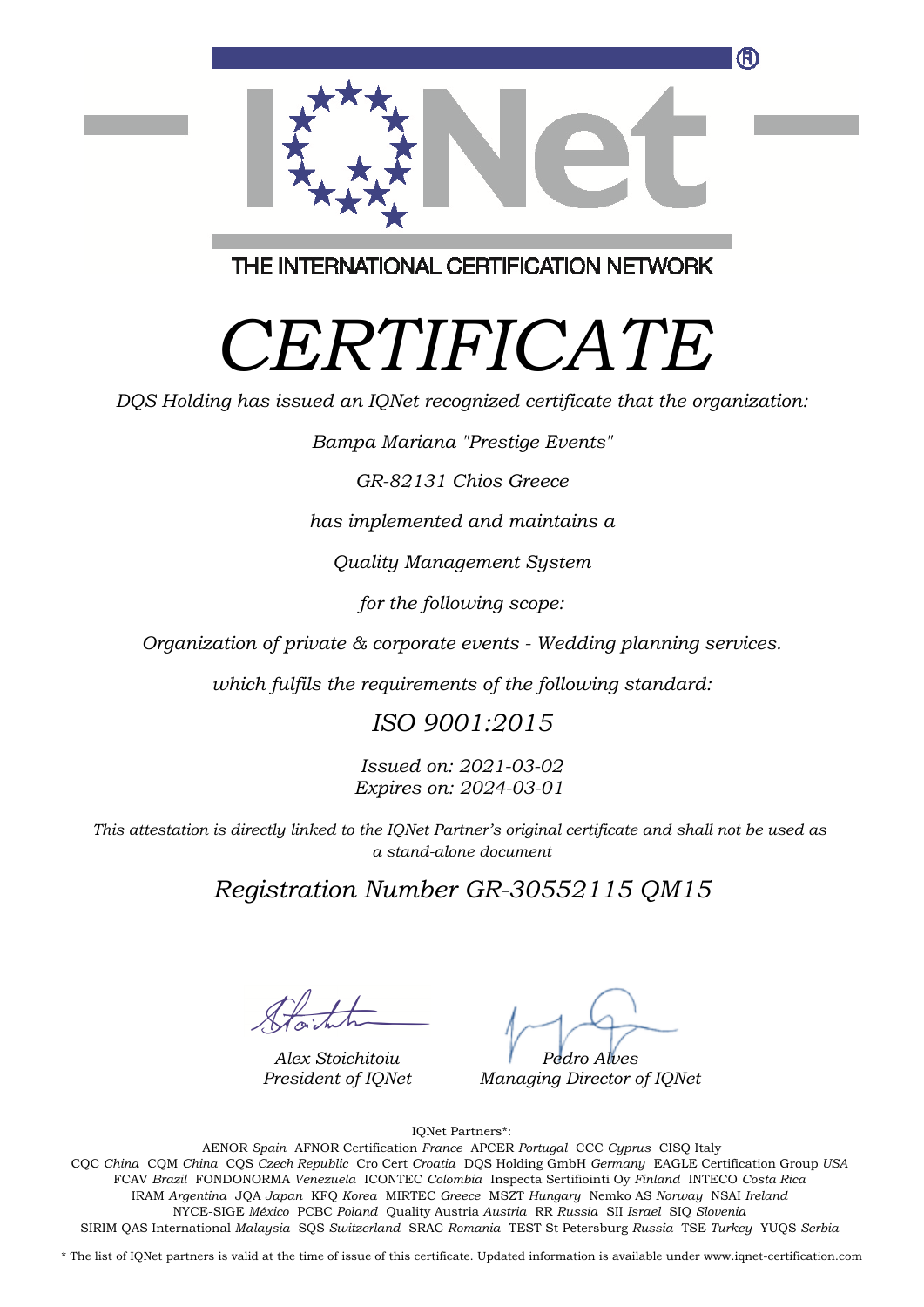

THE INTERNATIONAL CERTIFICATION NETWORK

## *CERTIFICATE*

*DQS Holding has issued an IQNet recognized certificate that the organization:*

*Bampa Mariana "Prestige Events"*

*GR-82131 Chios Greece*

*has implemented and maintains a*

*Quality Management System*

*for the following scope:*

*Organization of private & corporate events - Wedding planning services.*

*which fulfils the requirements of the following standard:*

## *ISO 9001:2015*

*Issued on: 2021-03-02 Expires on: 2024-03-01*

*This attestation is directly linked to the IQNet Partner's original certificate and shall not be used as a stand-alone document*

*Registration Number GR-30552115 QM15*

*Alex Stoichitoiu President of IQNet*

*Pedro Alves*

*Managing Director of IQNet*

IQNet Partners\*:

This annex is only valid in connection with the above-mentioned certificate. FCAV *Brazil* FONDONORMA *Venezuela* ICONTEC *Colombia* Inspecta Sertifiointi Oy *Finland* INTECO *Costa Rica* AENOR *Spain* AFNOR Certification *France* APCER *Portugal* CCC *Cyprus* CISQ Italy CQC *China* CQM *China* CQS *Czech Republic* Cro Cert *Croatia* DQS Holding GmbH *Germany* EAGLE Certification Group *USA* IRAM *Argentina* JQA *Japan* KFQ *Korea* MIRTEC *Greece* MSZT *Hungary* Nemko AS *Norway* NSAI *Ireland* NYCE-SIGE *México* PCBC *Poland* Quality Austria *Austria* RR *Russia* SII *Israel* SIQ *Slovenia* SIRIM QAS International *Malaysia* SQS *Switzerland* SRAC *Romania* TEST St Petersburg *Russia* TSE *Turkey* YUQS *Serbia*

\* The list of IQNet partners is valid at the time of issue of this certificate. Updated information is available under www.iqnet-certification.com